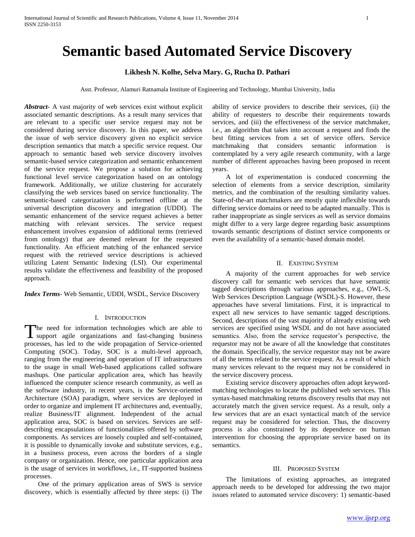# **Semantic based Automated Service Discovery**

## **Likhesh N. Kolhe, Selva Mary. G, Rucha D. Pathari**

Asst. Professor, Alamuri Ratnamala Institute of Engineering and Technology, Mumbai University, India

*Abstract***-** A vast majority of web services exist without explicit associated semantic descriptions. As a result many services that are relevant to a specific user service request may not be considered during service discovery. In this paper, we address the issue of web service discovery given no explicit service description semantics that match a specific service request. Our approach to semantic based web service discovery involves semantic-based service categorization and semantic enhancement of the service request. We propose a solution for achieving functional level service categorization based on an ontology framework. Additionally, we utilize clustering for accurately classifying the web services based on service functionality. The semantic-based categorization is performed offline at the universal description discovery and integration (UDDI). The semantic enhancement of the service request achieves a better matching with relevant services. The service request enhancement involves expansion of additional terms (retrieved from ontology) that are deemed relevant for the requested functionality. An efficient matching of the enhanced service request with the retrieved service descriptions is achieved utilizing Latent Semantic Indexing (LSI). Our experimental results validate the effectiveness and feasibility of the proposed approach.

*Index Terms*- Web Semantic, UDDI, WSDL, Service Discovery

## I. INTRODUCTION

The need for information technologies which are able to The need for information technologies which are able to support agile organizations and fast-changing business processes, has led to the wide propagation of Service-oriented Computing (SOC). Today, SOC is a multi-level approach, ranging from the engineering and operation of IT infrastructures to the usage in small Web-based applications called software mashups. One particular application area, which has heavily influenced the computer science research community, as well as the software industry, in recent years, is the Service-oriented Architecture (SOA) paradigm, where services are deployed in order to organize and implement IT architectures and, eventually, realize Business/IT alignment. Independent of the actual application area, SOC is based on services. Services are selfdescribing encapsulations of functionalities offered by software components. As services are loosely coupled and self-contained, it is possible to dynamically invoke and substitute services, e.g., in a business process, even across the borders of a single company or organization. Hence, one particular application area is the usage of services in workflows, i.e., IT-supported business processes.

 One of the primary application areas of SWS is service discovery, which is essentially affected by three steps: (i) The

ability of service providers to describe their services, (ii) the ability of requesters to describe their requirements towards services, and (iii) the effectiveness of the service matchmaker, i.e., an algorithm that takes into account a request and finds the best fitting services from a set of service offers. Service matchmaking that considers semantic information is contemplated by a very agile research community, with a large number of different approaches having been proposed in recent years.

 A lot of experimentation is conduced concerning the selection of elements from a service description, similarity metrics, and the combination of the resulting similarity values. State-of-the-art matchmakers are mostly quite inflexible towards differing service domains or need to be adapted manually. This is rather inappropriate as single services as well as service domains might differ to a very large degree regarding basic assumptions towards semantic descriptions of distinct service components or even the availability of a semantic-based domain model.

#### II. EXISTING SYSTEM

 A majority of the current approaches for web service discovery call for semantic web services that have semantic tagged descriptions through various approaches, e.g., OWL-S, Web Services Description Language (WSDL)-S. However, these approaches have several limitations. First, it is impractical to expect all new services to have semantic tagged descriptions. Second, descriptions of the vast majority of already existing web services are specified using WSDL and do not have associated semantics. Also, from the service requestor's perspective, the requestor may not be aware of all the knowledge that constitutes the domain. Specifically, the service requestor may not be aware of all the terms related to the service request. As a result of which many services relevant to the request may not be considered in the service discovery process.

 Existing service discovery approaches often adopt keywordmatching technologies to locate the published web services. This syntax-based matchmaking returns discovery results that may not accurately match the given service request. As a result, only a few services that are an exact syntactical match of the service request may be considered for selection. Thus, the discovery process is also constrained by its dependence on human intervention for choosing the appropriate service based on its semantics.

#### III. PROPOSED SYSTEM

 The limitations of existing approaches, an integrated approach needs to be developed for addressing the two major issues related to automated service discovery: 1) semantic-based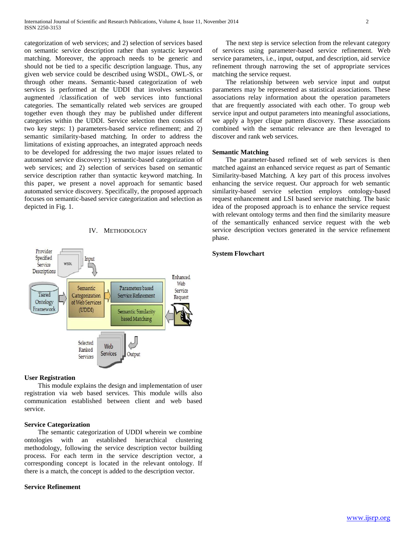categorization of web services; and 2) selection of services based on semantic service description rather than syntactic keyword matching. Moreover, the approach needs to be generic and should not be tied to a specific description language. Thus, any given web service could be described using WSDL, OWL-S, or through other means. Semantic-based categorization of web services is performed at the UDDI that involves semantics augmented /classification of web services into functional categories. The semantically related web services are grouped together even though they may be published under different categories within the UDDI. Service selection then consists of two key steps: 1) parameters-based service refinement; and 2) semantic similarity-based matching. In order to address the limitations of existing approaches, an integrated approach needs to be developed for addressing the two major issues related to automated service discovery:1) semantic-based categorization of web services; and 2) selection of services based on semantic service description rather than syntactic keyword matching. In this paper, we present a novel approach for semantic based automated service discovery. Specifically, the proposed approach focuses on semantic-based service categorization and selection as depicted in Fig. 1.





#### **User Registration**

 This module explains the design and implementation of user registration via web based services. This module wills also communication established between client and web based service.

### **Service Categorization**

 The semantic categorization of UDDI wherein we combine ontologies with an established hierarchical clustering methodology, following the service description vector building process. For each term in the service description vector, a corresponding concept is located in the relevant ontology. If there is a match, the concept is added to the description vector.

#### **Service Refinement**

 The next step is service selection from the relevant category of services using parameter-based service refinement. Web service parameters, i.e., input, output, and description, aid service refinement through narrowing the set of appropriate services matching the service request.

 The relationship between web service input and output parameters may be represented as statistical associations. These associations relay information about the operation parameters that are frequently associated with each other. To group web service input and output parameters into meaningful associations, we apply a hyper clique pattern discovery. These associations combined with the semantic relevance are then leveraged to discover and rank web services.

#### **Semantic Matching**

 The parameter-based refined set of web services is then matched against an enhanced service request as part of Semantic Similarity-based Matching. A key part of this process involves enhancing the service request. Our approach for web semantic similarity-based service selection employs ontology-based request enhancement and LSI based service matching. The basic idea of the proposed approach is to enhance the service request with relevant ontology terms and then find the similarity measure of the semantically enhanced service request with the web service description vectors generated in the service refinement phase.

## **System Flowchart**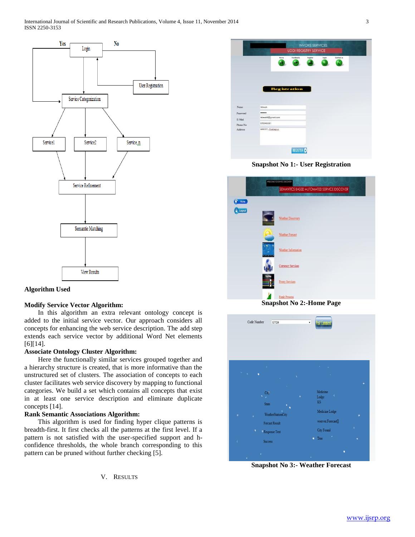



## **Modify Service Vector Algorithm:**

 In this algorithm an extra relevant ontology concept is added to the initial service vector. Our approach considers all concepts for enhancing the web service description. The add step extends each service vector by additional Word Net elements [6][14].

## **Associate Ontology Cluster Algorithm:**

 Here the functionally similar services grouped together and a hierarchy structure is created, that is more informative than the unstructured set of clusters. The association of concepts to each cluster facilitates web service discovery by mapping to functional categories. We build a set which contains all concepts that exist in at least one service description and eliminate duplicate concepts [14].

## **Rank Semantic Associations Algorithm:**

 This algorithm is used for finding hyper clique patterns is breadth-first. It first checks all the patterns at the first level. If a pattern is not satisfied with the user-specified support and hconfidence thresholds, the whole branch corresponding to this pattern can be pruned without further checking [5].

V. RESULTS

|            | <b>Registration</b> |                                        |  |  |  |
|------------|---------------------|----------------------------------------|--|--|--|
|            |                     |                                        |  |  |  |
| likhesh    |                     |                                        |  |  |  |
|            |                     |                                        |  |  |  |
|            |                     |                                        |  |  |  |
| 8793465361 |                     |                                        |  |  |  |
|            |                     |                                        |  |  |  |
|            |                     | likhesh8@gmail.com<br>ARMIET, Shehapux |  |  |  |

**Snapshot No 1:- User Registration**

|        | WELCOME TO SERVICE EISCOVERY               |
|--------|--------------------------------------------|
|        | SEMANTICS BASED AUTOMATED SERVICE DISCOVER |
| Home   |                                            |
| Logout | <b>Weather Discovery</b>                   |
|        | <b>Weather Forcast</b>                     |
|        | Weather Information                        |
|        | <b>Currency Services</b>                   |
|        | <b>Proxy Services</b>                      |
|        | <b>Rank Process</b>                        |
|        | <b>Snapshot No 2:-Home Page</b>            |



**Snapshot No 3:- Weather Forecast**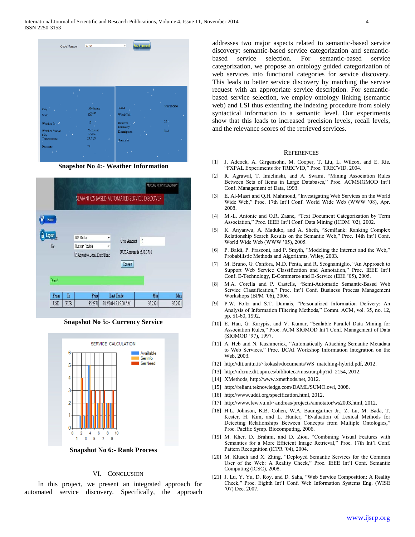| 67104<br>Code Number                                                                                                                                          | <b>Post Commen</b><br>٠                                                                                                                                   |
|---------------------------------------------------------------------------------------------------------------------------------------------------------------|-----------------------------------------------------------------------------------------------------------------------------------------------------------|
| ٠<br>A.<br>٠<br><b>College</b><br>$\mathcal{A}^{\mathcal{A}}$                                                                                                 | a.<br><b>Contract</b><br>$\sim 10^{-1}$                                                                                                                   |
| Medicine<br>City<br>$_{\rm KS}^{\rm Lodge}$<br><b>State</b><br>×.<br>$15-1$<br>Weather Id.<br><b>The A</b><br>$\Lambda$<br>Medicine<br><b>Weather Station</b> | NW10G20<br>Wind<br>×.<br>$\Lambda$<br>Wind Chill<br>٠<br>v.<br>$26 -$<br>Relative <sup>1</sup><br>$\sim 1$<br>$\Lambda$<br>Humidity<br>N/A<br>Description |
| Lodge<br>City<br>$5 - 1$<br>29.71S<br>Temperature<br>ÿ.<br>$\mathbf{z}$<br>79<br>Pressure<br>$\mathbf{y}$<br>$\sqrt{t}$<br>п,<br>٠<br>$\Delta$                | $\pi$ $\rightarrow$<br>٠<br>Remarks<br>$\mathbf{y}$ .<br>$\sqrt{2}$<br>٠<br>$\Delta \mathbf{v}$                                                           |

**Snapshot No 4:- Weather Information**

| Home<br>Logout<br>To: | U.S. Dollar<br>Russian Rouble | ۳<br>۷ | Give Amount                        | 10 |  |
|-----------------------|-------------------------------|--------|------------------------------------|----|--|
|                       | Adjust to Local Date/Time     |        | RUBAmount is : 352.3710<br>Convert |    |  |

**Snapshot No 5:- Currency Service**



**Snapshot No 6:- Rank Process**

#### VI. CONCLUSION

 In this project, we present an integrated approach for automated service discovery. Specifically, the approach addresses two major aspects related to semantic-based service discovery: semantic-based service categorization and semanticbased service selection. For semantic-based service categorization, we propose an ontology guided categorization of web services into functional categories for service discovery. This leads to better service discovery by matching the service request with an appropriate service description. For semanticbased service selection, we employ ontology linking (semantic web) and LSI thus extending the indexing procedure from solely syntactical information to a semantic level. Our experiments show that this leads to increased precision levels, recall levels, and the relevance scores of the retrieved services.

#### **REFERENCES**

- [1] J. Adcock, A. Girgensohn, M. Cooper, T. Liu, L. Wilcox, and E. Rie, "FXPAL Experiments for TRECVID," Proc. TRECVID, 2004.
- [2] R. Agrawal, T. Imielinski, and A. Swami, "Mining Association Rules Between Sets of Items in Large Databases," Proc. ACMSIGMOD Int'l Conf. Management of Data, 1993.
- [3] E. Al-Masri and Q.H. Mahmoud, "Investigating Web Services on the World Wide Web," Proc. 17th Int'l Conf. World Wide Web (WWW '08), Apr. 2008.
- [4] M.-L. Antonie and O.R. Zaane, "Text Document Categorization by Term Association," Proc. IEEE Int'l Conf. Data Mining (ICDM '02), 2002.
- [5] K. Anyanwu, A. Maduko, and A. Sheth, "SemRank: Ranking Complex Relationship Search Results on the Semantic Web," Proc. 14th Int'l Conf. World Wide Web (WWW '05), 2005.
- [6] P. Baldi, P. Frasconi, and P. Smyth, "Modeling the Internet and the Web," Probabilistic Methods and Algorithms, Wiley, 2003.
- [7] M. Bruno, G. Canfora, M.D. Penta, and R. Scognamiglio, "An Approach to Support Web Service Classification and Annotation," Proc. IEEE Int'l Conf. E-Technology, E-Commerce and E-Service (EEE '05), 2005.
- [8] M.A. Corella and P. Castells, "Semi-Automatic Semantic-Based Web Service Classification," Proc. Int'l Conf. Business Process Management Workshops (BPM '06), 2006.
- [9] P.W. Foltz and S.T. Dumais, "Personalized Information Delivery: An Analysis of Information Filtering Methods," Comm. ACM, vol. 35, no. 12, pp. 51-60, 1992.
- [10] E. Han, G. Karypis, and V. Kumar, "Scalable Parallel Data Mining for Association Rules," Proc. ACM SIGMOD Int'l Conf. Management of Data (SIGMOD '97), 1997.
- [11] A. Heb and N. Kushmerick, "Automatically Attaching Semantic Metadata to Web Services," Proc. IJCAI Workshop Information Integration on the Web, 2003.
- [12] http://dit.unitn.it/~kokash/documents/WS\_matching-hybrid.pdf, 2012.
- [13] http://idcrue.dit.upm.es/biblioteca/mostrar.php?id=2154, 2012.
- [14] XMethods, http://www.xmethods.net, 2012.
- [15] http://reliant.teknowledge.com/DAML/SUMO.owl, 2008.
- [16] http://www.uddi.org/specification.html, 2012.
- [17] http://www.few.vu.nl/~andreas/projects/annotator/ws2003.html, 2012.
- [18] H.L. Johnson, K.B. Cohen, W.A. Baumgartner Jr., Z. Lu, M. Bada, T. Kester, H. Kim, and L. Hunter, "Evaluation of Lexical Methods for Detecting Relationships Between Concepts from Multiple Ontologies," Proc. Pacific Symp. Biocomputing, 2006.
- [19] M. Kher, D. Brahmi, and D. Ziou, "Combining Visual Features with Semantics for a More Efficient Image Retrieval," Proc. 17th Int'l Conf. Pattern Recognition (ICPR '04), 2004.
- [20] M. Klusch and X. Zhing, "Deployed Semantic Services for the Common User of the Web: A Reality Check," Proc. IEEE Int'l Conf. Semantic Computing (ICSC), 2008.
- [21] J. Lu, Y. Yu, D. Roy, and D. Saha, "Web Service Composition: A Reality Check," Proc. Eighth Int'l Conf. Web Information Systems Eng. (WISE '07) Dec. 2007.